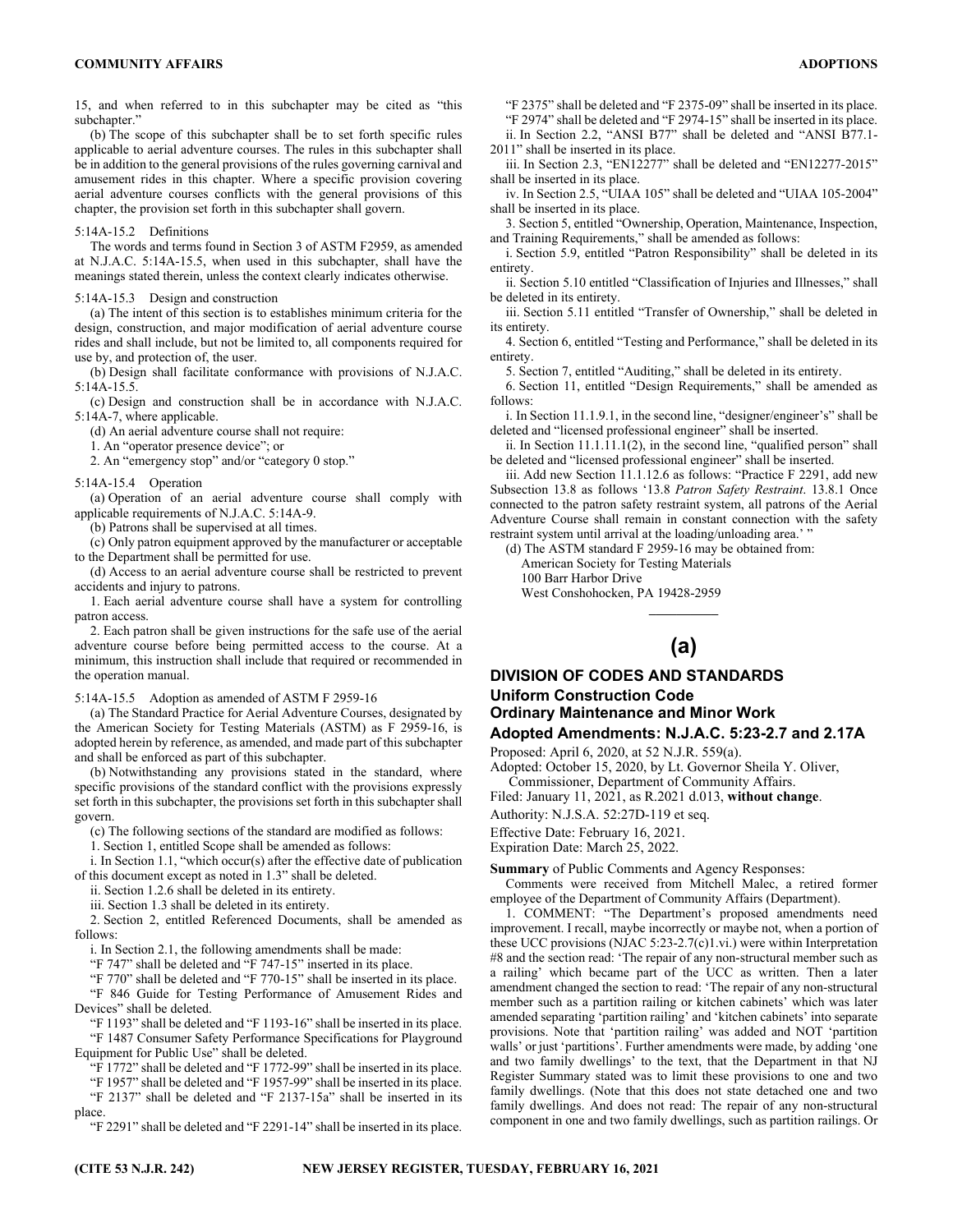15, and when referred to in this subchapter may be cited as "this subchapter."

(b) The scope of this subchapter shall be to set forth specific rules applicable to aerial adventure courses. The rules in this subchapter shall be in addition to the general provisions of the rules governing carnival and amusement rides in this chapter. Where a specific provision covering aerial adventure courses conflicts with the general provisions of this chapter, the provision set forth in this subchapter shall govern.

## 5:14A-15.2 Definitions

The words and terms found in Section 3 of ASTM F2959, as amended at N.J.A.C. 5:14A-15.5, when used in this subchapter, shall have the meanings stated therein, unless the context clearly indicates otherwise.

## 5:14A-15.3 Design and construction

(a) The intent of this section is to establishes minimum criteria for the design, construction, and major modification of aerial adventure course rides and shall include, but not be limited to, all components required for use by, and protection of, the user.

(b) Design shall facilitate conformance with provisions of N.J.A.C. 5:14A-15.5.

(c) Design and construction shall be in accordance with N.J.A.C. 5:14A-7, where applicable.

(d) An aerial adventure course shall not require:

1. An "operator presence device"; or

2. An "emergency stop" and/or "category 0 stop."

#### 5:14A-15.4 Operation

(a) Operation of an aerial adventure course shall comply with applicable requirements of N.J.A.C. 5:14A-9.

(b) Patrons shall be supervised at all times.

- (c) Only patron equipment approved by the manufacturer or acceptable to the Department shall be permitted for use.
- (d) Access to an aerial adventure course shall be restricted to prevent accidents and injury to patrons.
- 1. Each aerial adventure course shall have a system for controlling patron access.

2. Each patron shall be given instructions for the safe use of the aerial adventure course before being permitted access to the course. At a minimum, this instruction shall include that required or recommended in the operation manual.

### 5:14A-15.5 Adoption as amended of ASTM F 2959-16

(a) The Standard Practice for Aerial Adventure Courses, designated by the American Society for Testing Materials (ASTM) as F 2959-16, is adopted herein by reference, as amended, and made part of this subchapter and shall be enforced as part of this subchapter.

(b) Notwithstanding any provisions stated in the standard, where specific provisions of the standard conflict with the provisions expressly set forth in this subchapter, the provisions set forth in this subchapter shall govern.

(c) The following sections of the standard are modified as follows:

1. Section 1, entitled Scope shall be amended as follows:

i. In Section 1.1, "which occur(s) after the effective date of publication of this document except as noted in 1.3" shall be deleted.

ii. Section 1.2.6 shall be deleted in its entirety.

iii. Section 1.3 shall be deleted in its entirety.

2. Section 2, entitled Referenced Documents, shall be amended as follows:

i. In Section 2.1, the following amendments shall be made:

"F 747" shall be deleted and "F 747-15" inserted in its place.

"F 770" shall be deleted and "F 770-15" shall be inserted in its place.

"F 846 Guide for Testing Performance of Amusement Rides and Devices" shall be deleted.

"F 1193" shall be deleted and "F 1193-16" shall be inserted in its place. "F 1487 Consumer Safety Performance Specifications for Playground Equipment for Public Use" shall be deleted.

"F 1772" shall be deleted and "F 1772-99" shall be inserted in its place.

"F 1957" shall be deleted and "F 1957-99" shall be inserted in its place. "F 2137" shall be deleted and "F 2137-15a" shall be inserted in its

place.

"F 2291" shall be deleted and "F 2291-14" shall be inserted in its place.

"F 2375" shall be deleted and "F 2375-09" shall be inserted in its place.

"F 2974" shall be deleted and "F 2974-15" shall be inserted in its place. ii. In Section 2.2, "ANSI B77" shall be deleted and "ANSI B77.1-

2011" shall be inserted in its place. iii. In Section 2.3, "EN12277" shall be deleted and "EN12277-2015" shall be inserted in its place.

iv. In Section 2.5, "UIAA 105" shall be deleted and "UIAA 105-2004" shall be inserted in its place.

3. Section 5, entitled "Ownership, Operation, Maintenance, Inspection, and Training Requirements," shall be amended as follows:

i. Section 5.9, entitled "Patron Responsibility" shall be deleted in its entirety.

ii. Section 5.10 entitled "Classification of Injuries and Illnesses," shall be deleted in its entirety.

iii. Section 5.11 entitled "Transfer of Ownership," shall be deleted in its entirety.

4. Section 6, entitled "Testing and Performance," shall be deleted in its entirety.

5. Section 7, entitled "Auditing," shall be deleted in its entirety.

6. Section 11, entitled "Design Requirements," shall be amended as follows:

i. In Section 11.1.9.1, in the second line, "designer/engineer's" shall be deleted and "licensed professional engineer" shall be inserted.

ii. In Section 11.1.11.1(2), in the second line, "qualified person" shall be deleted and "licensed professional engineer" shall be inserted.

iii. Add new Section 11.1.12.6 as follows: "Practice F 2291, add new Subsection 13.8 as follows '13.8 *Patron Safety Restraint*. 13.8.1 Once connected to the patron safety restraint system, all patrons of the Aerial Adventure Course shall remain in constant connection with the safety restraint system until arrival at the loading/unloading area.' "

(d) The ASTM standard F 2959-16 may be obtained from:

American Society for Testing Materials 100 Barr Harbor Drive

West Conshohocken, PA 19428-2959

# **(a)**

 $\mathcal{L}_\text{max}$ 

## **DIVISION OF CODES AND STANDARDS Uniform Construction Code Ordinary Maintenance and Minor Work Adopted Amendments: N.J.A.C. 5:23-2.7 and 2.17A**

Proposed: April 6, 2020, at 52 N.J.R. 559(a).

Adopted: October 15, 2020, by Lt. Governor Sheila Y. Oliver, Commissioner, Department of Community Affairs.

Filed: January 11, 2021, as R.2021 d.013, **without change**.

Authority: N.J.S.A. 52:27D-119 et seq.

Effective Date: February 16, 2021.

Expiration Date: March 25, 2022.

**Summary** of Public Comments and Agency Responses:

Comments were received from Mitchell Malec, a retired former employee of the Department of Community Affairs (Department).

1. COMMENT: "The Department's proposed amendments need improvement. I recall, maybe incorrectly or maybe not, when a portion of these UCC provisions (NJAC 5:23-2.7(c)1.vi.) were within Interpretation #8 and the section read: 'The repair of any non-structural member such as a railing' which became part of the UCC as written. Then a later amendment changed the section to read: 'The repair of any non-structural member such as a partition railing or kitchen cabinets' which was later amended separating 'partition railing' and 'kitchen cabinets' into separate provisions. Note that 'partition railing' was added and NOT 'partition walls' or just 'partitions'. Further amendments were made, by adding 'one and two family dwellings' to the text, that the Department in that NJ Register Summary stated was to limit these provisions to one and two family dwellings. (Note that this does not state detached one and two family dwellings. And does not read: The repair of any non-structural component in one and two family dwellings, such as partition railings. Or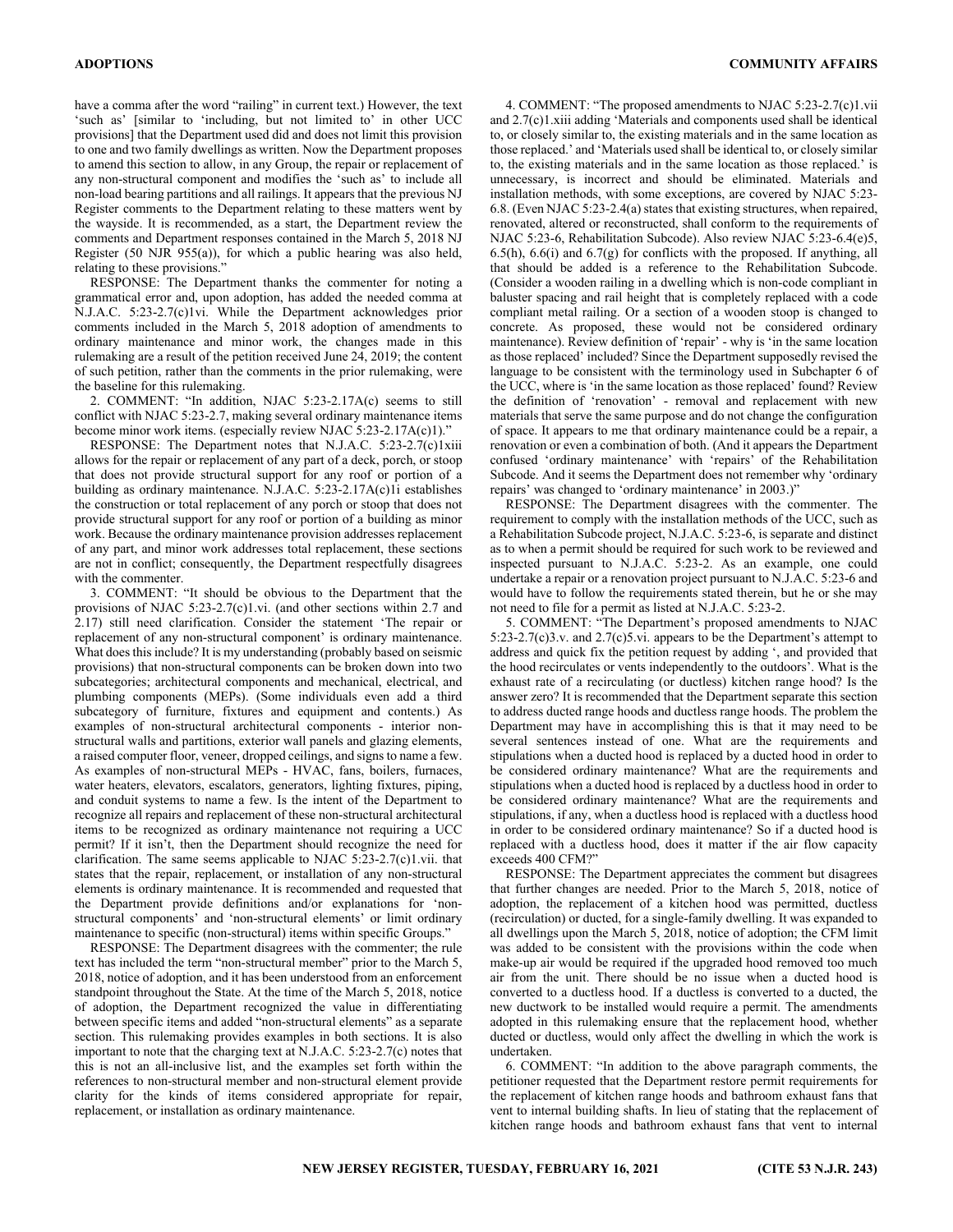have a comma after the word "railing" in current text.) However, the text 'such as' [similar to 'including, but not limited to' in other UCC provisions] that the Department used did and does not limit this provision to one and two family dwellings as written. Now the Department proposes to amend this section to allow, in any Group, the repair or replacement of any non-structural component and modifies the 'such as' to include all non-load bearing partitions and all railings. It appears that the previous NJ Register comments to the Department relating to these matters went by the wayside. It is recommended, as a start, the Department review the comments and Department responses contained in the March 5, 2018 NJ Register (50 NJR 955(a)), for which a public hearing was also held, relating to these provisions."

RESPONSE: The Department thanks the commenter for noting a grammatical error and, upon adoption, has added the needed comma at N.J.A.C. 5:23-2.7(c)1vi. While the Department acknowledges prior comments included in the March 5, 2018 adoption of amendments to ordinary maintenance and minor work, the changes made in this rulemaking are a result of the petition received June 24, 2019; the content of such petition, rather than the comments in the prior rulemaking, were the baseline for this rulemaking.

2. COMMENT: "In addition, NJAC 5:23-2.17A(c) seems to still conflict with NJAC 5:23-2.7, making several ordinary maintenance items become minor work items. (especially review NJAC 5:23-2.17A(c)1)."

RESPONSE: The Department notes that N.J.A.C. 5:23-2.7(c)1xiii allows for the repair or replacement of any part of a deck, porch, or stoop that does not provide structural support for any roof or portion of a building as ordinary maintenance. N.J.A.C. 5:23-2.17A(c)1i establishes the construction or total replacement of any porch or stoop that does not provide structural support for any roof or portion of a building as minor work. Because the ordinary maintenance provision addresses replacement of any part, and minor work addresses total replacement, these sections are not in conflict; consequently, the Department respectfully disagrees with the commenter.

3. COMMENT: "It should be obvious to the Department that the provisions of NJAC 5:23-2.7(c)1.vi. (and other sections within 2.7 and 2.17) still need clarification. Consider the statement 'The repair or replacement of any non-structural component' is ordinary maintenance. What does this include? It is my understanding (probably based on seismic provisions) that non-structural components can be broken down into two subcategories; architectural components and mechanical, electrical, and plumbing components (MEPs). (Some individuals even add a third subcategory of furniture, fixtures and equipment and contents.) As examples of non-structural architectural components - interior nonstructural walls and partitions, exterior wall panels and glazing elements, a raised computer floor, veneer, dropped ceilings, and signs to name a few. As examples of non-structural MEPs - HVAC, fans, boilers, furnaces, water heaters, elevators, escalators, generators, lighting fixtures, piping, and conduit systems to name a few. Is the intent of the Department to recognize all repairs and replacement of these non-structural architectural items to be recognized as ordinary maintenance not requiring a UCC permit? If it isn't, then the Department should recognize the need for clarification. The same seems applicable to NJAC 5:23-2.7(c)1.vii. that states that the repair, replacement, or installation of any non-structural elements is ordinary maintenance. It is recommended and requested that the Department provide definitions and/or explanations for 'nonstructural components' and 'non-structural elements' or limit ordinary maintenance to specific (non-structural) items within specific Groups."

RESPONSE: The Department disagrees with the commenter; the rule text has included the term "non-structural member" prior to the March 5, 2018, notice of adoption, and it has been understood from an enforcement standpoint throughout the State. At the time of the March 5, 2018, notice of adoption, the Department recognized the value in differentiating between specific items and added "non-structural elements" as a separate section. This rulemaking provides examples in both sections. It is also important to note that the charging text at N.J.A.C. 5:23-2.7(c) notes that this is not an all-inclusive list, and the examples set forth within the references to non-structural member and non-structural element provide clarity for the kinds of items considered appropriate for repair, replacement, or installation as ordinary maintenance.

4. COMMENT: "The proposed amendments to NJAC 5:23-2.7(c)1.vii and 2.7(c)1.xiii adding 'Materials and components used shall be identical to, or closely similar to, the existing materials and in the same location as those replaced.' and 'Materials used shall be identical to, or closely similar to, the existing materials and in the same location as those replaced.' is unnecessary, is incorrect and should be eliminated. Materials and installation methods, with some exceptions, are covered by NJAC 5:23- 6.8. (Even NJAC 5:23-2.4(a) states that existing structures, when repaired, renovated, altered or reconstructed, shall conform to the requirements of NJAC 5:23-6, Rehabilitation Subcode). Also review NJAC 5:23-6.4(e)5, 6.5(h), 6.6(i) and 6.7(g) for conflicts with the proposed. If anything, all that should be added is a reference to the Rehabilitation Subcode. (Consider a wooden railing in a dwelling which is non-code compliant in baluster spacing and rail height that is completely replaced with a code compliant metal railing. Or a section of a wooden stoop is changed to concrete. As proposed, these would not be considered ordinary maintenance). Review definition of 'repair' - why is 'in the same location as those replaced' included? Since the Department supposedly revised the language to be consistent with the terminology used in Subchapter 6 of the UCC, where is 'in the same location as those replaced' found? Review the definition of 'renovation' - removal and replacement with new materials that serve the same purpose and do not change the configuration of space. It appears to me that ordinary maintenance could be a repair, a renovation or even a combination of both. (And it appears the Department confused 'ordinary maintenance' with 'repairs' of the Rehabilitation Subcode. And it seems the Department does not remember why 'ordinary repairs' was changed to 'ordinary maintenance' in 2003.)"

RESPONSE: The Department disagrees with the commenter. The requirement to comply with the installation methods of the UCC, such as a Rehabilitation Subcode project, N.J.A.C. 5:23-6, is separate and distinct as to when a permit should be required for such work to be reviewed and inspected pursuant to N.J.A.C. 5:23-2. As an example, one could undertake a repair or a renovation project pursuant to N.J.A.C. 5:23-6 and would have to follow the requirements stated therein, but he or she may not need to file for a permit as listed at N.J.A.C. 5:23-2.

5. COMMENT: "The Department's proposed amendments to NJAC 5:23-2.7(c)3.v. and 2.7(c)5.vi. appears to be the Department's attempt to address and quick fix the petition request by adding ', and provided that the hood recirculates or vents independently to the outdoors'. What is the exhaust rate of a recirculating (or ductless) kitchen range hood? Is the answer zero? It is recommended that the Department separate this section to address ducted range hoods and ductless range hoods. The problem the Department may have in accomplishing this is that it may need to be several sentences instead of one. What are the requirements and stipulations when a ducted hood is replaced by a ducted hood in order to be considered ordinary maintenance? What are the requirements and stipulations when a ducted hood is replaced by a ductless hood in order to be considered ordinary maintenance? What are the requirements and stipulations, if any, when a ductless hood is replaced with a ductless hood in order to be considered ordinary maintenance? So if a ducted hood is replaced with a ductless hood, does it matter if the air flow capacity exceeds 400 CFM?"

RESPONSE: The Department appreciates the comment but disagrees that further changes are needed. Prior to the March 5, 2018, notice of adoption, the replacement of a kitchen hood was permitted, ductless (recirculation) or ducted, for a single-family dwelling. It was expanded to all dwellings upon the March 5, 2018, notice of adoption; the CFM limit was added to be consistent with the provisions within the code when make-up air would be required if the upgraded hood removed too much air from the unit. There should be no issue when a ducted hood is converted to a ductless hood. If a ductless is converted to a ducted, the new ductwork to be installed would require a permit. The amendments adopted in this rulemaking ensure that the replacement hood, whether ducted or ductless, would only affect the dwelling in which the work is undertaken.

6. COMMENT: "In addition to the above paragraph comments, the petitioner requested that the Department restore permit requirements for the replacement of kitchen range hoods and bathroom exhaust fans that vent to internal building shafts. In lieu of stating that the replacement of kitchen range hoods and bathroom exhaust fans that vent to internal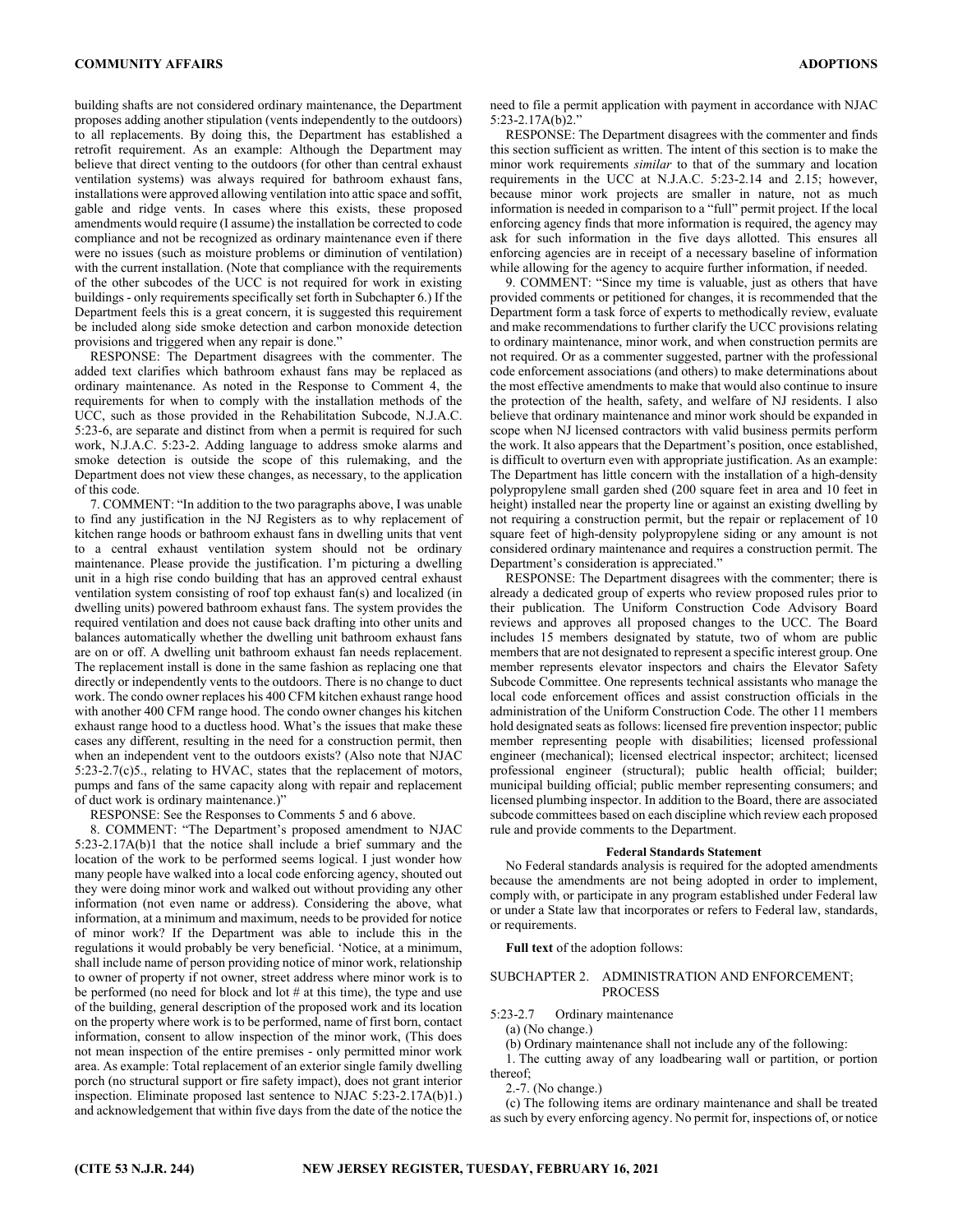building shafts are not considered ordinary maintenance, the Department proposes adding another stipulation (vents independently to the outdoors) to all replacements. By doing this, the Department has established a retrofit requirement. As an example: Although the Department may believe that direct venting to the outdoors (for other than central exhaust ventilation systems) was always required for bathroom exhaust fans, installations were approved allowing ventilation into attic space and soffit, gable and ridge vents. In cases where this exists, these proposed amendments would require (I assume) the installation be corrected to code compliance and not be recognized as ordinary maintenance even if there were no issues (such as moisture problems or diminution of ventilation) with the current installation. (Note that compliance with the requirements of the other subcodes of the UCC is not required for work in existing buildings - only requirements specifically set forth in Subchapter 6.) If the Department feels this is a great concern, it is suggested this requirement be included along side smoke detection and carbon monoxide detection provisions and triggered when any repair is done."

RESPONSE: The Department disagrees with the commenter. The added text clarifies which bathroom exhaust fans may be replaced as ordinary maintenance. As noted in the Response to Comment 4, the requirements for when to comply with the installation methods of the UCC, such as those provided in the Rehabilitation Subcode, N.J.A.C. 5:23-6, are separate and distinct from when a permit is required for such work, N.J.A.C. 5:23-2. Adding language to address smoke alarms and smoke detection is outside the scope of this rulemaking, and the Department does not view these changes, as necessary, to the application of this code.

7. COMMENT: "In addition to the two paragraphs above, I was unable to find any justification in the NJ Registers as to why replacement of kitchen range hoods or bathroom exhaust fans in dwelling units that vent to a central exhaust ventilation system should not be ordinary maintenance. Please provide the justification. I'm picturing a dwelling unit in a high rise condo building that has an approved central exhaust ventilation system consisting of roof top exhaust fan(s) and localized (in dwelling units) powered bathroom exhaust fans. The system provides the required ventilation and does not cause back drafting into other units and balances automatically whether the dwelling unit bathroom exhaust fans are on or off. A dwelling unit bathroom exhaust fan needs replacement. The replacement install is done in the same fashion as replacing one that directly or independently vents to the outdoors. There is no change to duct work. The condo owner replaces his 400 CFM kitchen exhaust range hood with another 400 CFM range hood. The condo owner changes his kitchen exhaust range hood to a ductless hood. What's the issues that make these cases any different, resulting in the need for a construction permit, then when an independent vent to the outdoors exists? (Also note that NJAC 5:23-2.7(c)5., relating to HVAC, states that the replacement of motors, pumps and fans of the same capacity along with repair and replacement of duct work is ordinary maintenance.)"

RESPONSE: See the Responses to Comments 5 and 6 above.

8. COMMENT: "The Department's proposed amendment to NJAC 5:23-2.17A(b)1 that the notice shall include a brief summary and the location of the work to be performed seems logical. I just wonder how many people have walked into a local code enforcing agency, shouted out they were doing minor work and walked out without providing any other information (not even name or address). Considering the above, what information, at a minimum and maximum, needs to be provided for notice of minor work? If the Department was able to include this in the regulations it would probably be very beneficial. 'Notice, at a minimum, shall include name of person providing notice of minor work, relationship to owner of property if not owner, street address where minor work is to be performed (no need for block and lot # at this time), the type and use of the building, general description of the proposed work and its location on the property where work is to be performed, name of first born, contact information, consent to allow inspection of the minor work, (This does not mean inspection of the entire premises - only permitted minor work area. As example: Total replacement of an exterior single family dwelling porch (no structural support or fire safety impact), does not grant interior inspection. Eliminate proposed last sentence to NJAC 5:23-2.17A(b)1.) and acknowledgement that within five days from the date of the notice the

need to file a permit application with payment in accordance with NJAC 5:23-2.17A(b)2."

RESPONSE: The Department disagrees with the commenter and finds this section sufficient as written. The intent of this section is to make the minor work requirements *similar* to that of the summary and location requirements in the UCC at N.J.A.C. 5:23-2.14 and 2.15; however, because minor work projects are smaller in nature, not as much information is needed in comparison to a "full" permit project. If the local enforcing agency finds that more information is required, the agency may ask for such information in the five days allotted. This ensures all enforcing agencies are in receipt of a necessary baseline of information while allowing for the agency to acquire further information, if needed.

9. COMMENT: "Since my time is valuable, just as others that have provided comments or petitioned for changes, it is recommended that the Department form a task force of experts to methodically review, evaluate and make recommendations to further clarify the UCC provisions relating to ordinary maintenance, minor work, and when construction permits are not required. Or as a commenter suggested, partner with the professional code enforcement associations (and others) to make determinations about the most effective amendments to make that would also continue to insure the protection of the health, safety, and welfare of NJ residents. I also believe that ordinary maintenance and minor work should be expanded in scope when NJ licensed contractors with valid business permits perform the work. It also appears that the Department's position, once established, is difficult to overturn even with appropriate justification. As an example: The Department has little concern with the installation of a high-density polypropylene small garden shed (200 square feet in area and 10 feet in height) installed near the property line or against an existing dwelling by not requiring a construction permit, but the repair or replacement of 10 square feet of high-density polypropylene siding or any amount is not considered ordinary maintenance and requires a construction permit. The Department's consideration is appreciated."

RESPONSE: The Department disagrees with the commenter; there is already a dedicated group of experts who review proposed rules prior to their publication. The Uniform Construction Code Advisory Board reviews and approves all proposed changes to the UCC. The Board includes 15 members designated by statute, two of whom are public members that are not designated to represent a specific interest group. One member represents elevator inspectors and chairs the Elevator Safety Subcode Committee. One represents technical assistants who manage the local code enforcement offices and assist construction officials in the administration of the Uniform Construction Code. The other 11 members hold designated seats as follows: licensed fire prevention inspector; public member representing people with disabilities; licensed professional engineer (mechanical); licensed electrical inspector; architect; licensed professional engineer (structural); public health official; builder; municipal building official; public member representing consumers; and licensed plumbing inspector. In addition to the Board, there are associated subcode committees based on each discipline which review each proposed rule and provide comments to the Department.

#### **Federal Standards Statement**

No Federal standards analysis is required for the adopted amendments because the amendments are not being adopted in order to implement, comply with, or participate in any program established under Federal law or under a State law that incorporates or refers to Federal law, standards, or requirements.

**Full text** of the adoption follows:

## SUBCHAPTER 2. ADMINISTRATION AND ENFORCEMENT; **PROCESS**

5:23-2.7 Ordinary maintenance

(a) (No change.)

(b) Ordinary maintenance shall not include any of the following:

1. The cutting away of any loadbearing wall or partition, or portion thereof;

2.-7. (No change.)

(c) The following items are ordinary maintenance and shall be treated as such by every enforcing agency. No permit for, inspections of, or notice